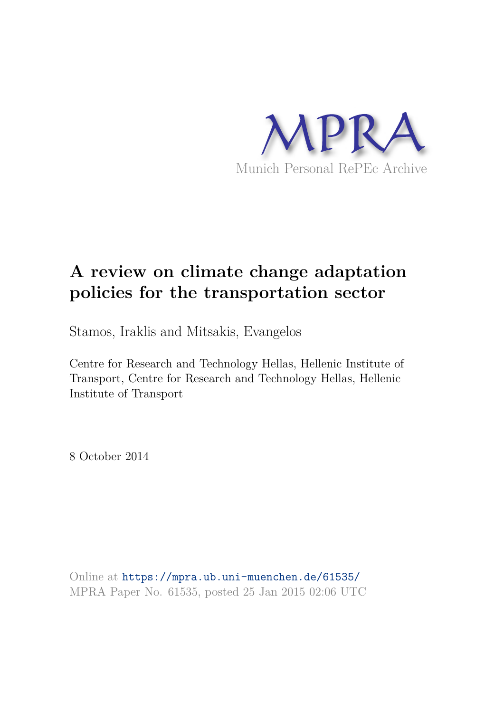

# **A review on climate change adaptation policies for the transportation sector**

Stamos, Iraklis and Mitsakis, Evangelos

Centre for Research and Technology Hellas, Hellenic Institute of Transport, Centre for Research and Technology Hellas, Hellenic Institute of Transport

8 October 2014

Online at https://mpra.ub.uni-muenchen.de/61535/ MPRA Paper No. 61535, posted 25 Jan 2015 02:06 UTC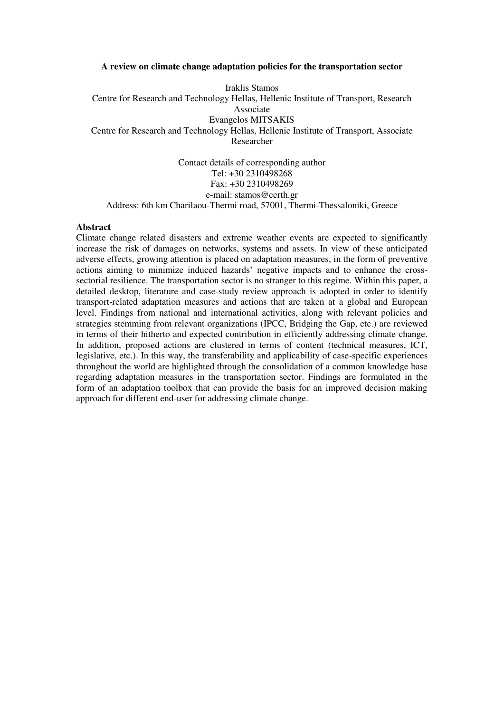#### **A review on climate change adaptation policies for the transportation sector**

Iraklis Stamos Centre for Research and Technology Hellas, Hellenic Institute of Transport, Research Associate Evangelos MITSAKIS Centre for Research and Technology Hellas, Hellenic Institute of Transport, Associate Researcher

Contact details of corresponding author Tel: +30 2310498268 Fax: +30 2310498269 e-mail: stamos@certh.gr Address: 6th km Charilaou-Thermi road, 57001, Thermi-Thessaloniki, Greece

#### **Abstract**

Climate change related disasters and extreme weather events are expected to significantly increase the risk of damages on networks, systems and assets. In view of these anticipated adverse effects, growing attention is placed on adaptation measures, in the form of preventive actions aiming to minimize induced hazards' negative impacts and to enhance the crosssectorial resilience. The transportation sector is no stranger to this regime. Within this paper, a detailed desktop, literature and case-study review approach is adopted in order to identify transport-related adaptation measures and actions that are taken at a global and European level. Findings from national and international activities, along with relevant policies and strategies stemming from relevant organizations (IPCC, Bridging the Gap, etc.) are reviewed in terms of their hitherto and expected contribution in efficiently addressing climate change. In addition, proposed actions are clustered in terms of content (technical measures, ICT, legislative, etc.). In this way, the transferability and applicability of case-specific experiences throughout the world are highlighted through the consolidation of a common knowledge base regarding adaptation measures in the transportation sector. Findings are formulated in the form of an adaptation toolbox that can provide the basis for an improved decision making approach for different end-user for addressing climate change.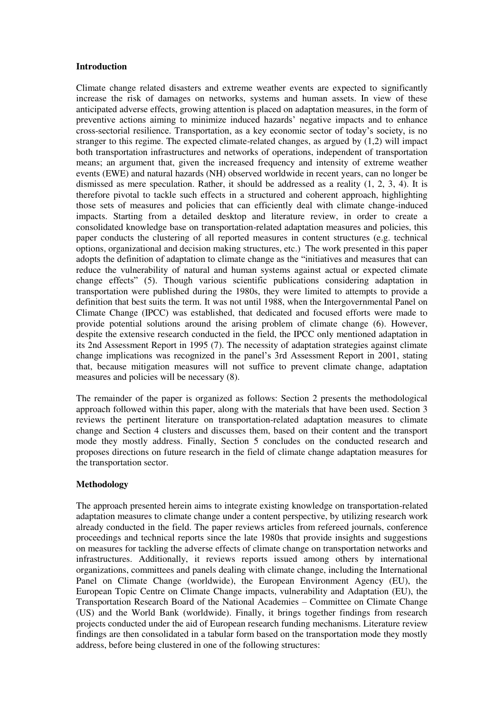#### **Introduction**

Climate change related disasters and extreme weather events are expected to significantly increase the risk of damages on networks, systems and human assets. In view of these anticipated adverse effects, growing attention is placed on adaptation measures, in the form of preventive actions aiming to minimize induced hazards' negative impacts and to enhance cross-sectorial resilience. Transportation, as a key economic sector of today's society, is no stranger to this regime. The expected climate-related changes, as argued by (1,2) will impact both transportation infrastructures and networks of operations, independent of transportation means; an argument that, given the increased frequency and intensity of extreme weather events (EWE) and natural hazards (NH) observed worldwide in recent years, can no longer be dismissed as mere speculation. Rather, it should be addressed as a reality  $(1, 2, 3, 4)$ . It is therefore pivotal to tackle such effects in a structured and coherent approach, highlighting those sets of measures and policies that can efficiently deal with climate change-induced impacts. Starting from a detailed desktop and literature review, in order to create a consolidated knowledge base on transportation-related adaptation measures and policies, this paper conducts the clustering of all reported measures in content structures (e.g. technical options, organizational and decision making structures, etc.) The work presented in this paper adopts the definition of adaptation to climate change as the "initiatives and measures that can reduce the vulnerability of natural and human systems against actual or expected climate change effects" (5). Though various scientific publications considering adaptation in transportation were published during the 1980s, they were limited to attempts to provide a definition that best suits the term. It was not until 1988, when the Intergovernmental Panel on Climate Change (IPCC) was established, that dedicated and focused efforts were made to provide potential solutions around the arising problem of climate change (6). However, despite the extensive research conducted in the field, the IPCC only mentioned adaptation in its 2nd Assessment Report in 1995 (7). The necessity of adaptation strategies against climate change implications was recognized in the panel's 3rd Assessment Report in 2001, stating that, because mitigation measures will not suffice to prevent climate change, adaptation measures and policies will be necessary (8).

The remainder of the paper is organized as follows: Section 2 presents the methodological approach followed within this paper, along with the materials that have been used. Section 3 reviews the pertinent literature on transportation-related adaptation measures to climate change and Section 4 clusters and discusses them, based on their content and the transport mode they mostly address. Finally, Section 5 concludes on the conducted research and proposes directions on future research in the field of climate change adaptation measures for the transportation sector.

## **Methodology**

The approach presented herein aims to integrate existing knowledge on transportation-related adaptation measures to climate change under a content perspective, by utilizing research work already conducted in the field. The paper reviews articles from refereed journals, conference proceedings and technical reports since the late 1980s that provide insights and suggestions on measures for tackling the adverse effects of climate change on transportation networks and infrastructures. Additionally, it reviews reports issued among others by international organizations, committees and panels dealing with climate change, including the International Panel on Climate Change (worldwide), the European Environment Agency (EU), the European Topic Centre on Climate Change impacts, vulnerability and Adaptation (EU), the Transportation Research Board of the National Academies – Committee on Climate Change (US) and the World Bank (worldwide). Finally, it brings together findings from research projects conducted under the aid of European research funding mechanisms. Literature review findings are then consolidated in a tabular form based on the transportation mode they mostly address, before being clustered in one of the following structures: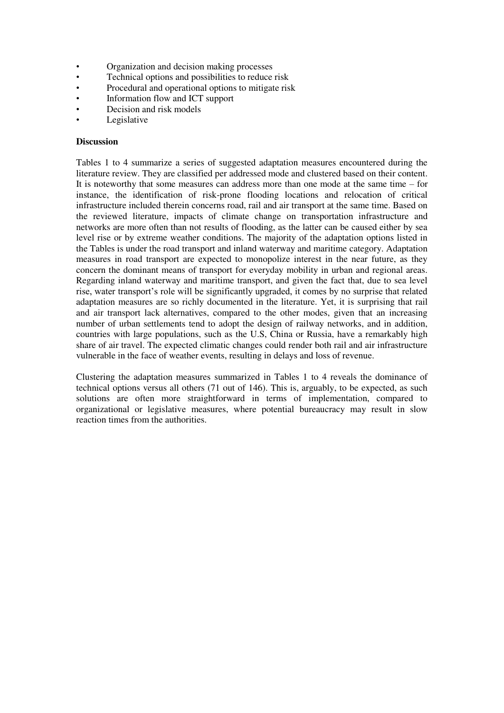- Organization and decision making processes
- Technical options and possibilities to reduce risk
- Procedural and operational options to mitigate risk
- Information flow and ICT support
- Decision and risk models
- **Legislative**

### **Discussion**

Tables 1 to 4 summarize a series of suggested adaptation measures encountered during the literature review. They are classified per addressed mode and clustered based on their content. It is noteworthy that some measures can address more than one mode at the same time – for instance, the identification of risk-prone flooding locations and relocation of critical infrastructure included therein concerns road, rail and air transport at the same time. Based on the reviewed literature, impacts of climate change on transportation infrastructure and networks are more often than not results of flooding, as the latter can be caused either by sea level rise or by extreme weather conditions. The majority of the adaptation options listed in the Tables is under the road transport and inland waterway and maritime category. Adaptation measures in road transport are expected to monopolize interest in the near future, as they concern the dominant means of transport for everyday mobility in urban and regional areas. Regarding inland waterway and maritime transport, and given the fact that, due to sea level rise, water transport's role will be significantly upgraded, it comes by no surprise that related adaptation measures are so richly documented in the literature. Yet, it is surprising that rail and air transport lack alternatives, compared to the other modes, given that an increasing number of urban settlements tend to adopt the design of railway networks, and in addition, countries with large populations, such as the U.S, China or Russia, have a remarkably high share of air travel. The expected climatic changes could render both rail and air infrastructure vulnerable in the face of weather events, resulting in delays and loss of revenue.

Clustering the adaptation measures summarized in Tables 1 to 4 reveals the dominance of technical options versus all others (71 out of 146). This is, arguably, to be expected, as such solutions are often more straightforward in terms of implementation, compared to organizational or legislative measures, where potential bureaucracy may result in slow reaction times from the authorities.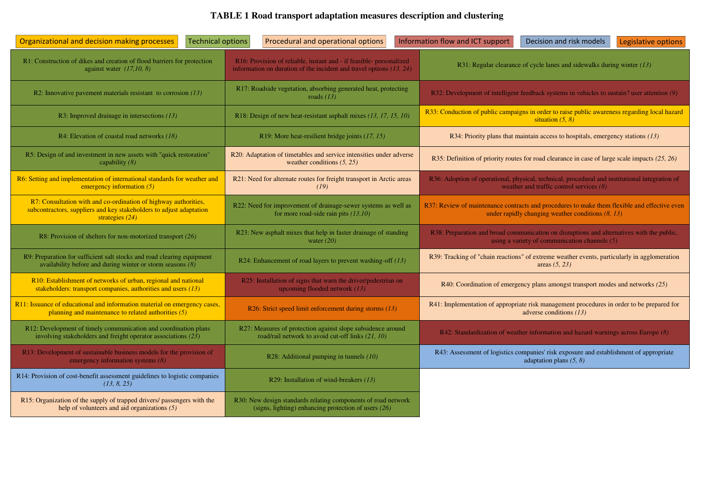# 1 **TABLE 1 Road transport adaptation measures description and clustering**

| <b>Technical options</b><br>Organizational and decision making processes                                                                                    | Procedural and operational options                                                                                                           | Information flow and ICT support<br>Decision and risk models<br>Legislative options                                                                 |  |
|-------------------------------------------------------------------------------------------------------------------------------------------------------------|----------------------------------------------------------------------------------------------------------------------------------------------|-----------------------------------------------------------------------------------------------------------------------------------------------------|--|
| R1: Construction of dikes and creation of flood barriers for protection<br>against water $(17,10, 8)$                                                       | R16: Provision of reliable, instant and - if feasible- personalized<br>information on duration of the incident and travel options $(13, 24)$ | R31: Regular clearance of cycle lanes and sidewalks during winter $(13)$                                                                            |  |
| R2: Innovative pavement materials resistant to corrosion $(13)$                                                                                             | R17: Roadside vegetation, absorbing generated heat, protecting<br>roads $(13)$                                                               | R32: Development of intelligent feedback systems in vehicles to sustain? user attention (9)                                                         |  |
| R3: Improved drainage in intersections $(13)$                                                                                                               | R18: Design of new heat-resistant asphalt mixes (13, 17, 15, 10)                                                                             | R33: Conduction of public campaigns in order to raise public awareness regarding local hazard<br>situation $(5, 8)$                                 |  |
| R4: Elevation of coastal road networks $(18)$                                                                                                               | R19: More heat-resilient bridge joints (17, 15)                                                                                              | R34: Priority plans that maintain access to hospitals, emergency stations (13)                                                                      |  |
| R5: Design of and investment in new assets with "quick restoration"<br>capability $(8)$                                                                     | R20: Adaptation of timetables and service intensities under adverse<br>weather conditions $(5, 25)$                                          | R35: Definition of priority routes for road clearance in case of large scale impacts (25, 26)                                                       |  |
| R6: Setting and implementation of international standards for weather and<br>emergency information $(5)$                                                    | R21: Need for alternate routes for freight transport in Arctic areas<br>(19)                                                                 | R36: Adoption of operational, physical, technical, procedural and institutional integration of<br>weather and traffic control services $(8)$        |  |
| R7: Consultation with and co-ordination of highway authorities,<br>subcontractors, suppliers and key stakeholders to adjust adaptation<br>strategies $(24)$ | R22: Need for improvement of drainage-sewer systems as well as<br>for more road-side rain pits $(13,10)$                                     | R37: Review of maintenance contracts and procedures to make them flexible and effective even<br>under rapidly changing weather conditions $(8, 13)$ |  |
| R8: Provision of shelters for non-motorized transport (26)                                                                                                  | R23: New asphalt mixes that help in faster drainage of standing<br>water $(20)$                                                              | R38: Preparation and broad communication on disruptions and alternatives with the public,<br>using a variety of communication channels $(5)$        |  |
| R9: Preparation for sufficient salt stocks and road clearing equipment<br>availability before and during winter or storm seasons $(8)$                      | R24: Enhancement of road layers to prevent washing-off (13)                                                                                  | R39: Tracking of "chain reactions" of extreme weather events, particularly in agglomeration<br>areas $(5, 23)$                                      |  |
| R10: Establishment of networks of urban, regional and national<br>stakeholders: transport companies, authorities and users $(13)$                           | R25: Installation of signs that warn the driver/pedestrian on<br>upcoming flooded network $(13)$                                             | R40: Coordination of emergency plans amongst transport modes and networks (25)                                                                      |  |
| R11: Issuance of educational and information material on emergency cases,<br>planning and maintenance to related authorities $(5)$                          | R26: Strict speed limit enforcement during storms (13)                                                                                       | R41: Implementation of appropriate risk management procedures in order to be prepared for<br>adverse conditions $(13)$                              |  |
| R12: Development of timely communication and coordination plans<br>involving stakeholders and freight operator associations (23)                            | R27: Measures of protection against slope subsidence around<br>road/rail network to avoid cut-off links (21, 10)                             | R42: Standardization of weather information and hazard warnings across Europe (8)                                                                   |  |
| R13: Development of sustainable business models for the provision of<br>emergency information systems $(8)$                                                 | R28: Additional pumping in tunnels (10)                                                                                                      | R43: Assessment of logistics companies' risk exposure and establishment of appropriate<br>adaptation plans $(5, 8)$                                 |  |
| R14: Provision of cost-benefit assessment guidelines to logistic companies<br>(13, 8, 25)                                                                   | R29: Installation of wind-breakers (13)                                                                                                      |                                                                                                                                                     |  |
| R15: Organization of the supply of trapped drivers/ passengers with the<br>help of volunteers and aid organizations $(5)$                                   | R30: New design standards relating components of road network<br>(signs, lighting) enhancing protection of users $(26)$                      |                                                                                                                                                     |  |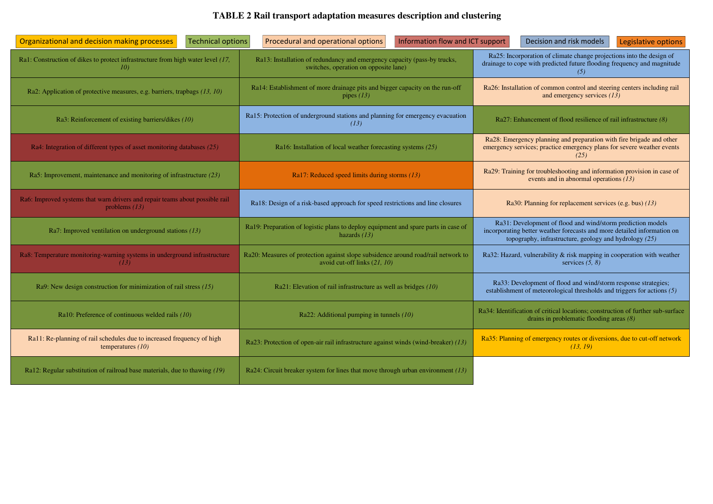# **TABLE 2 Rail transport adaptation measures description and clustering**

| Technical options<br>Organizational and decision making processes                               | Procedural and operational options<br>Information flow and ICT support                                                                                                                                                                                                                                   | Decision and risk models<br>Legislative options                                                                                                        |  |
|-------------------------------------------------------------------------------------------------|----------------------------------------------------------------------------------------------------------------------------------------------------------------------------------------------------------------------------------------------------------------------------------------------------------|--------------------------------------------------------------------------------------------------------------------------------------------------------|--|
| Ra1: Construction of dikes to protect infrastructure from high water level (17,<br>10)          | Ra13: Installation of redundancy and emergency capacity (pass-by trucks,<br>switches, operation on opposite lane)                                                                                                                                                                                        | Ra25: Incorporation of climate change projections into the design of<br>drainage to cope with predicted future flooding frequency and magnitude<br>(5) |  |
| Ra2: Application of protective measures, e.g. barriers, trapbags (13, 10)                       | Ra14: Establishment of more drainage pits and bigger capacity on the run-off<br>pipes $(13)$                                                                                                                                                                                                             | Ra26: Installation of common control and steering centers including rail<br>and emergency services $(13)$                                              |  |
| Ra3: Reinforcement of existing barriers/dikes (10)                                              | Ra15: Protection of underground stations and planning for emergency evacuation<br>(13)                                                                                                                                                                                                                   | Ra27: Enhancement of flood resilience of rail infrastructure (8)                                                                                       |  |
| Ra4: Integration of different types of asset monitoring databases (25)                          | Ra16: Installation of local weather forecasting systems (25)                                                                                                                                                                                                                                             | Ra28: Emergency planning and preparation with fire brigade and other<br>emergency services; practice emergency plans for severe weather events<br>(25) |  |
| Ra5: Improvement, maintenance and monitoring of infrastructure (23)                             | Ra17: Reduced speed limits during storms (13)                                                                                                                                                                                                                                                            | Ra29: Training for troubleshooting and information provision in case of<br>events and in abnormal operations $(13)$                                    |  |
| Ra6: Improved systems that warn drivers and repair teams about possible rail<br>problems $(13)$ | Ra18: Design of a risk-based approach for speed restrictions and line closures                                                                                                                                                                                                                           | Ra30: Planning for replacement services (e.g. bus) (13)                                                                                                |  |
| Ra7: Improved ventilation on underground stations $(13)$                                        | Ra31: Development of flood and wind/storm prediction models<br>Ra19: Preparation of logistic plans to deploy equipment and spare parts in case of<br>incorporating better weather forecasts and more detailed information on<br>hazards $(13)$<br>topography, infrastructure, geology and hydrology (25) |                                                                                                                                                        |  |
| Ra8: Temperature monitoring-warning systems in underground infrastructure<br>(13)               | Ra20: Measures of protection against slope subsidence around road/rail network to<br>avoid cut-off links (21, 10)                                                                                                                                                                                        | Ra32: Hazard, vulnerability & risk mapping in cooperation with weather<br>services $(5, 8)$                                                            |  |
| Ra9: New design construction for minimization of rail stress $(15)$                             | Ra21: Elevation of rail infrastructure as well as bridges $(10)$                                                                                                                                                                                                                                         | Ra33: Development of flood and wind/storm response strategies;<br>establishment of meteorological thresholds and triggers for actions (5)              |  |
| Ra10: Preference of continuous welded rails (10)                                                | Ra22: Additional pumping in tunnels $(10)$                                                                                                                                                                                                                                                               | Ra34: Identification of critical locations; construction of further sub-surface<br>drains in problematic flooding areas $(8)$                          |  |
| Ra11: Re-planning of rail schedules due to increased frequency of high<br>temperatures $(10)$   | Ra23: Protection of open-air rail infrastructure against winds (wind-breaker) (13)                                                                                                                                                                                                                       | Ra35: Planning of emergency routes or diversions, due to cut-off network<br>(13, 19)                                                                   |  |
| Ra12: Regular substitution of railroad base materials, due to thawing (19)                      | Ra24: Circuit breaker system for lines that move through urban environment (13)                                                                                                                                                                                                                          |                                                                                                                                                        |  |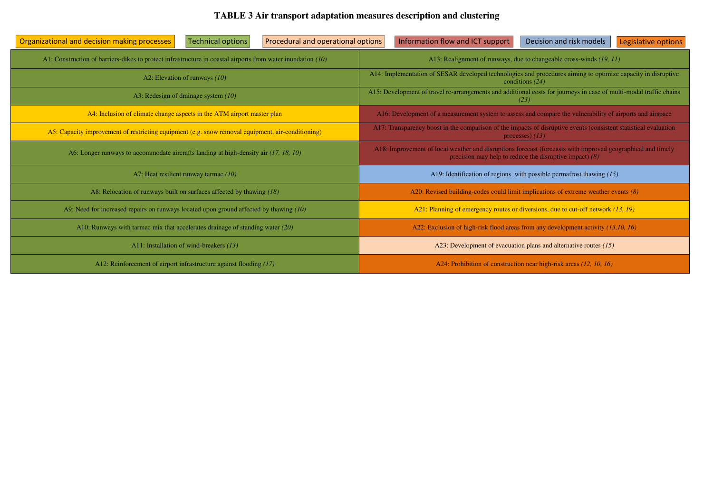# **TABLE 3 Air transport adaptation measures description and clustering**

| Technical options<br>Procedural and operational options<br>Organizational and decision making processes     | Information flow and ICT support<br>Decision and risk models<br>Legislative options                                                                                      |  |  |
|-------------------------------------------------------------------------------------------------------------|--------------------------------------------------------------------------------------------------------------------------------------------------------------------------|--|--|
| A1: Construction of barriers-dikes to protect infrastructure in coastal airports from water inundation (10) | A13: Realignment of runways, due to changeable cross-winds (19, 11)                                                                                                      |  |  |
| A2: Elevation of runways $(10)$                                                                             | A14: Implementation of SESAR developed technologies and procedures aiming to optimize capacity in disruptive<br>conditions (24)                                          |  |  |
| A3: Redesign of drainage system (10)                                                                        | A15: Development of travel re-arrangements and additional costs for journeys in case of multi-modal traffic chains<br>(23)                                               |  |  |
| A4: Inclusion of climate change aspects in the ATM airport master plan                                      | A16: Development of a measurement system to assess and compare the vulnerability of airports and airspace                                                                |  |  |
| A5: Capacity improvement of restricting equipment (e.g. snow removal equipment, air-conditioning)           | A17: Transparency boost in the comparison of the impacts of disruptive events (consistent statistical evaluation<br>processes) $(13)$                                    |  |  |
| A6: Longer runways to accommodate aircrafts landing at high-density air (17, 18, 10)                        | A18: Improvement of local weather and disruptions forecast (forecasts with improved geographical and timely<br>precision may help to reduce the disruptive impact) $(8)$ |  |  |
| A7: Heat resilient runway tarmac (10)                                                                       | A19: Identification of regions with possible permafrost thawing $(15)$                                                                                                   |  |  |
| A8: Relocation of runways built on surfaces affected by thawing (18)                                        | A20: Revised building-codes could limit implications of extreme weather events (8)                                                                                       |  |  |
| A9: Need for increased repairs on runways located upon ground affected by thawing (10)                      | A21: Planning of emergency routes or diversions, due to cut-off network (13, 19)                                                                                         |  |  |
| A10: Runways with tarmac mix that accelerates drainage of standing water $(20)$                             | A22: Exclusion of high-risk flood areas from any development activity (13,10, 16)                                                                                        |  |  |
| A11: Installation of wind-breakers (13)                                                                     | A23: Development of evacuation plans and alternative routes $(15)$                                                                                                       |  |  |
| A12: Reinforcement of airport infrastructure against flooding (17)                                          | A24: Prohibition of construction near high-risk areas (12, 10, 16)                                                                                                       |  |  |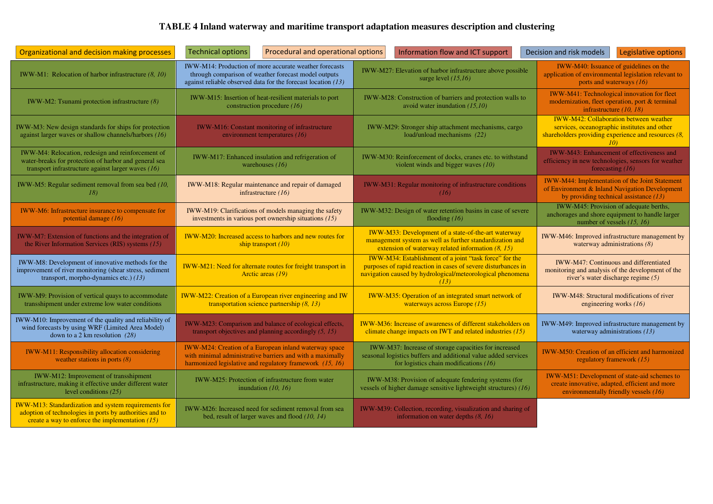## **TABLE 4 Inland waterway and maritime transport adaptation measures description and clustering**

| Organizational and decision making processes                                                                                                                                | <b>Technical options</b><br>Procedural and operational options                                                                                                                    | Information flow and ICT support                                                                                                                                                              | Decision and risk models<br>Legislative options                                                                                                                              |
|-----------------------------------------------------------------------------------------------------------------------------------------------------------------------------|-----------------------------------------------------------------------------------------------------------------------------------------------------------------------------------|-----------------------------------------------------------------------------------------------------------------------------------------------------------------------------------------------|------------------------------------------------------------------------------------------------------------------------------------------------------------------------------|
| IWW-M1: Relocation of harbor infrastructure $(8, 10)$                                                                                                                       | IWW-M14: Production of more accurate weather forecasts<br>through comparison of weather forecast model outputs<br>against reliable observed data for the forecast location $(13)$ | IWW-M27: Elevation of harbor infrastructure above possible<br>surge level $(15,16)$                                                                                                           | IWW-M40: Issuance of guidelines on the<br>application of environmental legislation relevant to<br>ports and waterways $(16)$                                                 |
| IWW-M2: Tsunami protection infrastructure $(8)$                                                                                                                             | IWW-M15: Insertion of heat-resilient materials to port<br>construction procedure (16)                                                                                             | IWW-M28: Construction of barriers and protection walls to<br>avoid water inundation $(15,10)$                                                                                                 | IWW-M41: Technological innovation for fleet<br>modernization, fleet operation, port & terminal<br>infrastructure $(10, 18)$                                                  |
| IWW-M3: New design standards for ships for protection<br>against larger waves or shallow channels/harbors $(16)$                                                            | <b>IWW-M16:</b> Constant monitoring of infrastructure<br>environment temperatures (16)                                                                                            | IWW-M29: Stronger ship attachment mechanisms, cargo<br>load/unload mechanisms (22)                                                                                                            | <b>IWW-M42: Collaboration between weather</b><br>services, oceanographic institutes and other<br>shareholders providing experience and resources $(8, 8)$<br>10 <sup>1</sup> |
| IWW-M4: Relocation, redesign and reinforcement of<br>water-breaks for protection of harbor and general sea<br>transport infrastructure against larger waves $(16)$          | IWW-M17: Enhanced insulation and refrigeration of<br>warehouses $(16)$                                                                                                            | IWW-M30: Reinforcement of docks, cranes etc. to withstand<br>violent winds and bigger waves (10)                                                                                              | IWW-M43: Enhancement of effectiveness and<br>efficiency in new technologies, sensors for weather<br>forecasting $(16)$                                                       |
| IWW-M5: Regular sediment removal from sea bed (10,<br>18)                                                                                                                   | IWW-M18: Regular maintenance and repair of damaged<br>infrastructure $(16)$                                                                                                       | IWW-M31: Regular monitoring of infrastructure conditions<br>(16)                                                                                                                              | <b>IWW-M44: Implementation of the Joint Statement</b><br>of Environment & Inland Navigation Development<br>by providing technical assistance $(13)$                          |
| IWW-M6: Infrastructure insurance to compensate for<br>potential damage (16)                                                                                                 | IWW-M19: Clarifications of models managing the safety<br>investments in various port ownership situations $(15)$                                                                  | IWW-M32: Design of water retention basins in case of severe<br>flooding $(16)$                                                                                                                | IWW-M45: Provision of adequate berths,<br>anchorages and shore equipment to handle larger<br>number of vessels $(15, 16)$                                                    |
| IWW-M7: Extension of functions and the integration of<br>the River Information Services (RIS) systems $(15)$                                                                | IWW-M20: Increased access to harbors and new routes for<br>ship transport $(10)$                                                                                                  | IWW-M33: Development of a state-of-the-art waterway<br>management system as well as further standardization and<br>extension of waterway related information $(8, 15)$                        | IWW-M46: Improved infrastructure management by<br>waterway administrations $(8)$                                                                                             |
| IWW-M8: Development of innovative methods for the<br>improvement of river monitoring (shear stress, sediment<br>transport, morpho-dynamics etc.) (13)                       | <b>IWW-M21:</b> Need for alternate routes for freight transport in<br>Arctic areas (19)                                                                                           | IWW-M34: Establishment of a joint "task force" for the<br>purposes of rapid reaction in cases of severe disturbances in<br>navigation caused by hydrological/meteorological phenomena<br>(13) | IWW-M47: Continuous and differentiated<br>monitoring and analysis of the development of the<br>river's water discharge regime $(5)$                                          |
| IWW-M9: Provision of vertical quays to accommodate<br>transshipment under extreme low water conditions                                                                      | IWW-M22: Creation of a European river engineering and IW<br>transportation science partnership $(8, 13)$                                                                          | IWW-M35: Operation of an integrated smart network of<br>waterways across Europe $(15)$                                                                                                        | IWW-M48: Structural modifications of river<br>engineering works $(16)$                                                                                                       |
| IWW-M10: Improvement of the quality and reliability of<br>wind forecasts by using WRF (Limited Area Model)<br>down to a 2 km resolution $(28)$                              | IWW-M23: Comparison and balance of ecological effects,<br>transport objectives and planning accordingly $(5, 15)$                                                                 | IWW-M36: Increase of awareness of different stakeholders on<br>climate change impacts on IWT and related industries $(15)$                                                                    | IWW-M49: Improved infrastructure management by<br>waterway administrations $(13)$                                                                                            |
| <b>IWW-M11: Responsibility allocation considering</b><br>weather stations in ports $(8)$                                                                                    | IWW-M24: Creation of a European inland waterway space<br>with minimal administrative barriers and with a maximally<br>harmonized legislative and regulatory framework $(15, 16)$  | IWW-M37: Increase of storage capacities for increased<br>seasonal logistics buffers and additional value added services<br>for logistics chain modifications $(16)$                           | IWW-M50: Creation of an efficient and harmonized<br>regulatory framework (15)                                                                                                |
| IWW-M12: Improvement of transshipment<br>infrastructure, making it effective under different water<br>level conditions $(25)$                                               | IWW-M25: Protection of infrastructure from water<br>inundation $(10, 16)$                                                                                                         | IWW-M38: Provision of adequate fendering systems (for<br>vessels of higher damage sensitive lightweight structures) (16)                                                                      | IWW-M51: Development of state-aid schemes to<br>create innovative, adapted, efficient and more<br>environmentally friendly vessels (16)                                      |
| <b>IWW-M13: Standardization and system requirements for</b><br>adoption of technologies in ports by authorities and to<br>create a way to enforce the implementation $(15)$ | IWW-M26: Increased need for sediment removal from sea<br>bed, result of larger waves and flood $(10, 14)$                                                                         | IWW-M39: Collection, recording, visualization and sharing of<br>information on water depths $(8, 16)$                                                                                         |                                                                                                                                                                              |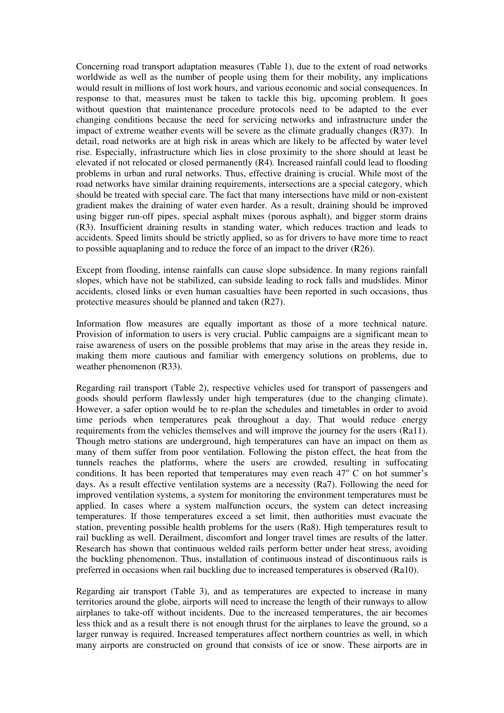Concerning road transport adaptation measures (Table 1), due to the extent of road networks worldwide as well as the number of people using them for their mobility, any implications would result in millions of lost work hours, and various economic and social consequences. In response to that, measures must be taken to tackle this big, upcoming problem. It goes without question that maintenance procedure protocols need to be adapted to the ever changing conditions because the need for servicing networks and infrastructure under the impact of extreme weather events will be severe as the climate gradually changes (R37). In detail, road networks are at high risk in areas which are likely to be affected by water level rise. Especially, infrastructure which lies in close proximity to the shore should at least be elevated if not relocated or closed permanently (R4). Increased rainfall could lead to flooding problems in urban and rural networks. Thus, effective draining is crucial. While most of the road networks have similar draining requirements, intersections are a special category, which should be treated with special care. The fact that many intersections have mild or non-existent gradient makes the draining of water even harder. As a result, draining should be improved using bigger run-off pipes, special asphalt mixes (porous asphalt), and bigger storm drains (R3). Insufficient draining results in standing water, which reduces traction and leads to accidents. Speed limits should be strictly applied, so as for drivers to have more time to react to possible aquaplaning and to reduce the force of an impact to the driver (R26).

Except from flooding, intense rainfalls can cause slope subsidence. In many regions rainfall slopes, which have not be stabilized, can subside leading to rock falls and mudslides. Minor accidents, closed links or even human casualties have been reported in such occasions, thus protective measures should be planned and taken (R27).

Information flow measures are equally important as those of a more technical nature. Provision of information to users is very crucial. Public campaigns are a significant mean to raise awareness of users on the possible problems that may arise in the areas they reside in, making them more cautious and familiar with emergency solutions on problems, due to weather phenomenon (R33).

Regarding rail transport (Table 2), respective vehicles used for transport of passengers and goods should perform flawlessly under high temperatures (due to the changing climate). However, a safer option would be to re-plan the schedules and timetables in order to avoid time periods when temperatures peak throughout a day. That would reduce energy requirements from the vehicles themselves and will improve the journey for the users (Ra11). Though metro stations are underground, high temperatures can have an impact on them as many of them suffer from poor ventilation. Following the piston effect, the heat from the tunnels reaches the platforms, where the users are crowded, resulting in suffocating conditions. It has been reported that temperatures may even reach  $47^{\circ}$  C on hot summer's days. As a result effective ventilation systems are a necessity (Ra7). Following the need for improved ventilation systems, a system for monitoring the environment temperatures must be applied. In cases where a system malfunction occurs, the system can detect increasing temperatures. If those temperatures exceed a set limit, then authorities must evacuate the station, preventing possible health problems for the users (Ra8). High temperatures result to rail buckling as well. Derailment, discomfort and longer travel times are results of the latter. Research has shown that continuous welded rails perform better under heat stress, avoiding the buckling phenomenon. Thus, installation of continuous instead of discontinuous rails is preferred in occasions when rail buckling due to increased temperatures is observed (Ra10).

Regarding air transport (Table 3), and as temperatures are expected to increase in many territories around the globe, airports will need to increase the length of their runways to allow airplanes to take-off without incidents. Due to the increased temperatures, the air becomes less thick and as a result there is not enough thrust for the airplanes to leave the ground, so a larger runway is required. Increased temperatures affect northern countries as well, in which many airports are constructed on ground that consists of ice or snow. These airports are in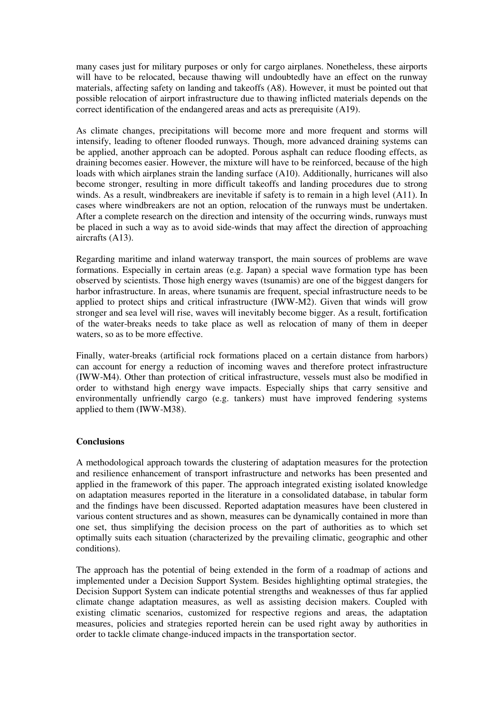many cases just for military purposes or only for cargo airplanes. Nonetheless, these airports will have to be relocated, because thawing will undoubtedly have an effect on the runway materials, affecting safety on landing and takeoffs (A8). However, it must be pointed out that possible relocation of airport infrastructure due to thawing inflicted materials depends on the correct identification of the endangered areas and acts as prerequisite (A19).

As climate changes, precipitations will become more and more frequent and storms will intensify, leading to oftener flooded runways. Though, more advanced draining systems can be applied, another approach can be adopted. Porous asphalt can reduce flooding effects, as draining becomes easier. However, the mixture will have to be reinforced, because of the high loads with which airplanes strain the landing surface (A10). Additionally, hurricanes will also become stronger, resulting in more difficult takeoffs and landing procedures due to strong winds. As a result, windbreakers are inevitable if safety is to remain in a high level (A11). In cases where windbreakers are not an option, relocation of the runways must be undertaken. After a complete research on the direction and intensity of the occurring winds, runways must be placed in such a way as to avoid side-winds that may affect the direction of approaching aircrafts (A13).

Regarding maritime and inland waterway transport, the main sources of problems are wave formations. Especially in certain areas (e.g. Japan) a special wave formation type has been observed by scientists. Those high energy waves (tsunamis) are one of the biggest dangers for harbor infrastructure. In areas, where tsunamis are frequent, special infrastructure needs to be applied to protect ships and critical infrastructure (IWW-M2). Given that winds will grow stronger and sea level will rise, waves will inevitably become bigger. As a result, fortification of the water-breaks needs to take place as well as relocation of many of them in deeper waters, so as to be more effective.

Finally, water-breaks (artificial rock formations placed on a certain distance from harbors) can account for energy a reduction of incoming waves and therefore protect infrastructure (IWW-M4). Other than protection of critical infrastructure, vessels must also be modified in order to withstand high energy wave impacts. Especially ships that carry sensitive and environmentally unfriendly cargo (e.g. tankers) must have improved fendering systems applied to them (IWW-M38).

## **Conclusions**

A methodological approach towards the clustering of adaptation measures for the protection and resilience enhancement of transport infrastructure and networks has been presented and applied in the framework of this paper. The approach integrated existing isolated knowledge on adaptation measures reported in the literature in a consolidated database, in tabular form and the findings have been discussed. Reported adaptation measures have been clustered in various content structures and as shown, measures can be dynamically contained in more than one set, thus simplifying the decision process on the part of authorities as to which set optimally suits each situation (characterized by the prevailing climatic, geographic and other conditions).

The approach has the potential of being extended in the form of a roadmap of actions and implemented under a Decision Support System. Besides highlighting optimal strategies, the Decision Support System can indicate potential strengths and weaknesses of thus far applied climate change adaptation measures, as well as assisting decision makers. Coupled with existing climatic scenarios, customized for respective regions and areas, the adaptation measures, policies and strategies reported herein can be used right away by authorities in order to tackle climate change-induced impacts in the transportation sector.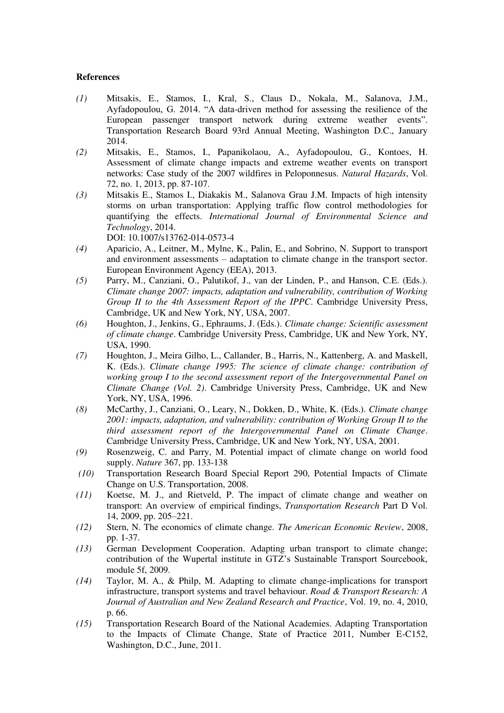### **References**

- *(1)* Mitsakis, E., Stamos, I., Kral, S., Claus D., Nokala, M., Salanova, J.M., Ayfadopoulou, G. 2014. "A data-driven method for assessing the resilience of the European passenger transport network during extreme weather events". Transportation Research Board 93rd Annual Meeting, Washington D.C., January 2014.
- *(2)* Mitsakis, E., Stamos, I., Papanikolaou, A., Ayfadopoulou, G., Kontoes, H. Assessment of climate change impacts and extreme weather events on transport networks: Case study of the 2007 wildfires in Peloponnesus. *Natural Hazards*, Vol. 72, no. 1, 2013, pp. 87-107.
- *(3)* Mitsakis E., Stamos I., Diakakis M., Salanova Grau J.M. Impacts of high intensity storms on urban transportation: Applying traffic flow control methodologies for quantifying the effects. *International Journal of Environmental Science and Technology*, 2014.

DOI: 10.1007/s13762-014-0573-4

- *(4)* Aparicio, A., Leitner, M., Mylne, K., Palin, E., and Sobrino, N. Support to transport and environment assessments – adaptation to climate change in the transport sector. European Environment Agency (EEA), 2013.
- *(5)* Parry, M., Canziani, O., Palutikof, J., van der Linden, P., and Hanson, C.E. (Eds.). *Climate change 2007: impacts, adaptation and vulnerability, contribution of Working Group II to the 4th Assessment Report of the IPPC*. Cambridge University Press, Cambridge, UK and New York, NY, USA, 2007.
- *(6)* Houghton, J., Jenkins, G., Ephraums, J. (Eds.). *Climate change: Scientific assessment of climate change*. Cambridge University Press, Cambridge, UK and New York, NY, USA, 1990.
- *(7)* Houghton, J., Meira Gilho, L., Callander, B., Harris, N., Kattenberg, A. and Maskell, K. (Eds.). *Climate change 1995: The science of climate change: contribution of working group I to the second assessment report of the Intergovernmental Panel on Climate Change (Vol. 2)*. Cambridge University Press, Cambridge, UK and New York, NY, USA, 1996.
- *(8)* McCarthy, J., Canziani, O., Leary, N., Dokken, D., White, K. (Eds.). *Climate change 2001: impacts, adaptation, and vulnerability: contribution of Working Group II to the third assessment report of the Intergovernmental Panel on Climate Change*. Cambridge University Press, Cambridge, UK and New York, NY, USA, 2001.
- *(9)* Rosenzweig, C. and Parry, M. Potential impact of climate change on world food supply. *Nature* 367, pp. 133-138
- *(10)* Transportation Research Board Special Report 290, Potential Impacts of Climate Change on U.S. Transportation, 2008.
- *(11)* Koetse, M. J., and Rietveld, P. The impact of climate change and weather on transport: An overview of empirical findings, *Transportation Research* Part D Vol. 14, 2009, pp. 205–221.
- *(12)* Stern, N. The economics of climate change. *The American Economic Review*, 2008, pp. 1-37.
- *(13)* German Development Cooperation. Adapting urban transport to climate change; contribution of the Wupertal institute in GTZ's Sustainable Transport Sourcebook, module 5f, 2009.
- *(14)* Taylor, M. A., & Philp, M. Adapting to climate change-implications for transport infrastructure, transport systems and travel behaviour. *Road & Transport Research: A Journal of Australian and New Zealand Research and Practice*, Vol. 19, no. 4, 2010, p. 66.
- *(15)* Transportation Research Board of the National Academies. Adapting Transportation to the Impacts of Climate Change, State of Practice 2011, Number E-C152, Washington, D.C., June, 2011.